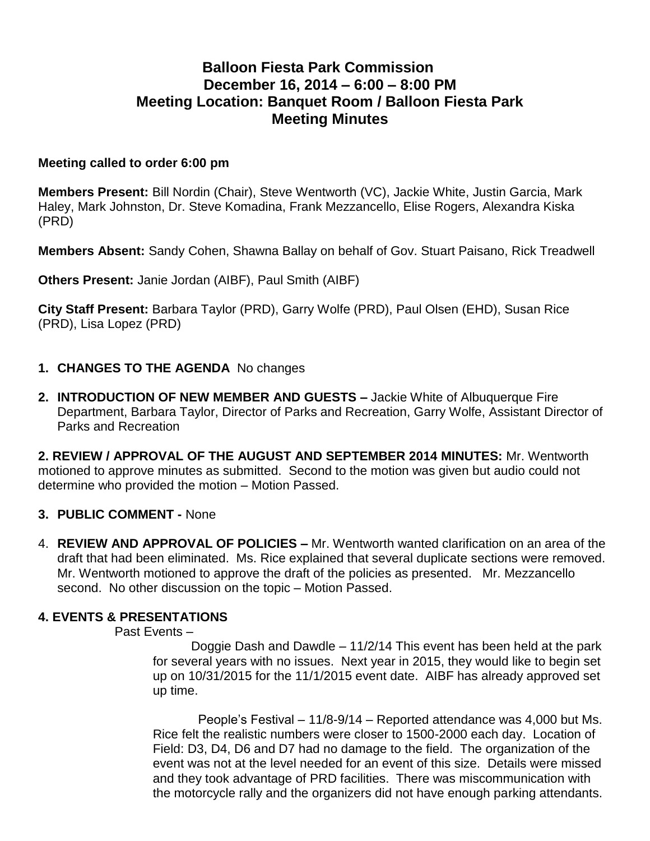# **Balloon Fiesta Park Commission December 16, 2014 – 6:00 – 8:00 PM Meeting Location: Banquet Room / Balloon Fiesta Park Meeting Minutes**

#### **Meeting called to order 6:00 pm**

**Members Present:** Bill Nordin (Chair), Steve Wentworth (VC), Jackie White, Justin Garcia, Mark Haley, Mark Johnston, Dr. Steve Komadina, Frank Mezzancello, Elise Rogers, Alexandra Kiska (PRD)

**Members Absent:** Sandy Cohen, Shawna Ballay on behalf of Gov. Stuart Paisano, Rick Treadwell

**Others Present:** Janie Jordan (AIBF), Paul Smith (AIBF)

**City Staff Present:** Barbara Taylor (PRD), Garry Wolfe (PRD), Paul Olsen (EHD), Susan Rice (PRD), Lisa Lopez (PRD)

#### **1. CHANGES TO THE AGENDA** No changes

**2. INTRODUCTION OF NEW MEMBER AND GUESTS –** Jackie White of Albuquerque Fire Department, Barbara Taylor, Director of Parks and Recreation, Garry Wolfe, Assistant Director of Parks and Recreation

**2. REVIEW / APPROVAL OF THE AUGUST AND SEPTEMBER 2014 MINUTES:** Mr. Wentworth motioned to approve minutes as submitted. Second to the motion was given but audio could not determine who provided the motion – Motion Passed.

#### **3. PUBLIC COMMENT -** None

4. **REVIEW AND APPROVAL OF POLICIES –** Mr. Wentworth wanted clarification on an area of the draft that had been eliminated. Ms. Rice explained that several duplicate sections were removed. Mr. Wentworth motioned to approve the draft of the policies as presented. Mr. Mezzancello second. No other discussion on the topic – Motion Passed.

#### **4. EVENTS & PRESENTATIONS**

Past Events –

Doggie Dash and Dawdle – 11/2/14 This event has been held at the park for several years with no issues. Next year in 2015, they would like to begin set up on 10/31/2015 for the 11/1/2015 event date. AIBF has already approved set up time.

 People's Festival – 11/8-9/14 – Reported attendance was 4,000 but Ms. Rice felt the realistic numbers were closer to 1500-2000 each day. Location of Field: D3, D4, D6 and D7 had no damage to the field. The organization of the event was not at the level needed for an event of this size. Details were missed and they took advantage of PRD facilities. There was miscommunication with the motorcycle rally and the organizers did not have enough parking attendants.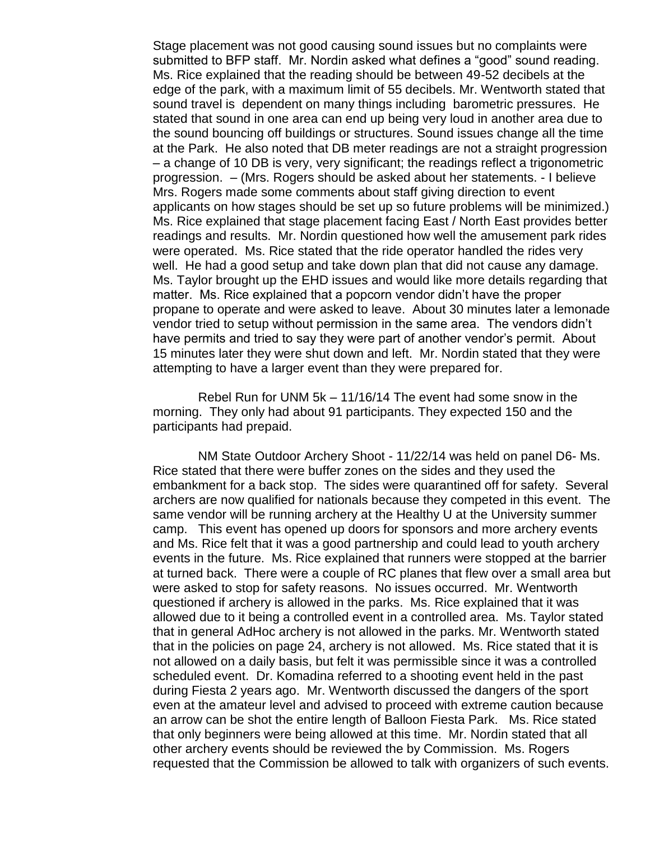Stage placement was not good causing sound issues but no complaints were submitted to BFP staff. Mr. Nordin asked what defines a "good" sound reading. Ms. Rice explained that the reading should be between 49-52 decibels at the edge of the park, with a maximum limit of 55 decibels. Mr. Wentworth stated that sound travel is dependent on many things including barometric pressures. He stated that sound in one area can end up being very loud in another area due to the sound bouncing off buildings or structures. Sound issues change all the time at the Park. He also noted that DB meter readings are not a straight progression – a change of 10 DB is very, very significant; the readings reflect a trigonometric progression. – (Mrs. Rogers should be asked about her statements. - I believe Mrs. Rogers made some comments about staff giving direction to event applicants on how stages should be set up so future problems will be minimized.) Ms. Rice explained that stage placement facing East / North East provides better readings and results. Mr. Nordin questioned how well the amusement park rides were operated. Ms. Rice stated that the ride operator handled the rides very well. He had a good setup and take down plan that did not cause any damage. Ms. Taylor brought up the EHD issues and would like more details regarding that matter. Ms. Rice explained that a popcorn vendor didn't have the proper propane to operate and were asked to leave. About 30 minutes later a lemonade vendor tried to setup without permission in the same area. The vendors didn't have permits and tried to say they were part of another vendor's permit. About 15 minutes later they were shut down and left. Mr. Nordin stated that they were attempting to have a larger event than they were prepared for.

 Rebel Run for UNM 5k – 11/16/14 The event had some snow in the morning. They only had about 91 participants. They expected 150 and the participants had prepaid.

 NM State Outdoor Archery Shoot - 11/22/14 was held on panel D6- Ms. Rice stated that there were buffer zones on the sides and they used the embankment for a back stop. The sides were quarantined off for safety. Several archers are now qualified for nationals because they competed in this event. The same vendor will be running archery at the Healthy U at the University summer camp. This event has opened up doors for sponsors and more archery events and Ms. Rice felt that it was a good partnership and could lead to youth archery events in the future. Ms. Rice explained that runners were stopped at the barrier at turned back. There were a couple of RC planes that flew over a small area but were asked to stop for safety reasons. No issues occurred. Mr. Wentworth questioned if archery is allowed in the parks. Ms. Rice explained that it was allowed due to it being a controlled event in a controlled area. Ms. Taylor stated that in general AdHoc archery is not allowed in the parks. Mr. Wentworth stated that in the policies on page 24, archery is not allowed. Ms. Rice stated that it is not allowed on a daily basis, but felt it was permissible since it was a controlled scheduled event. Dr. Komadina referred to a shooting event held in the past during Fiesta 2 years ago. Mr. Wentworth discussed the dangers of the sport even at the amateur level and advised to proceed with extreme caution because an arrow can be shot the entire length of Balloon Fiesta Park. Ms. Rice stated that only beginners were being allowed at this time. Mr. Nordin stated that all other archery events should be reviewed the by Commission. Ms. Rogers requested that the Commission be allowed to talk with organizers of such events.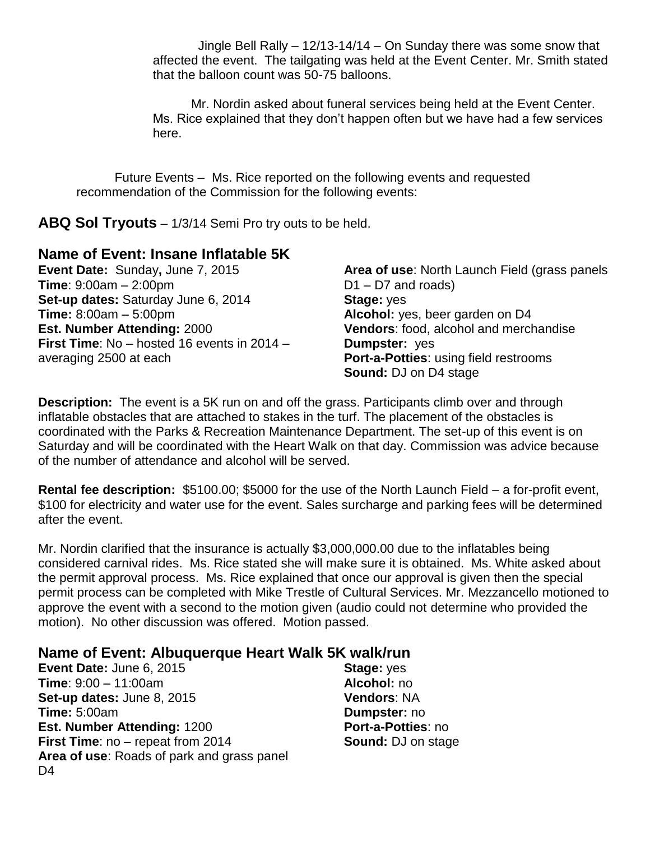Jingle Bell Rally –  $12/13-14/14$  – On Sunday there was some snow that affected the event. The tailgating was held at the Event Center. Mr. Smith stated that the balloon count was 50-75 balloons.

Mr. Nordin asked about funeral services being held at the Event Center. Ms. Rice explained that they don't happen often but we have had a few services here.

Future Events – Ms. Rice reported on the following events and requested recommendation of the Commission for the following events:

**ABQ Sol Tryouts** – 1/3/14 Semi Pro try outs to be held.

### **Name of Event: Insane Inflatable 5K**

**Event Date:** Sunday**,** June 7, 2015 **Time**: 9:00am – 2:00pm **Set-up dates:** Saturday June 6, 2014 **Time:** 8:00am – 5:00pm **Est. Number Attending:** 2000 **First Time**: No – hosted 16 events in 2014 – averaging 2500 at each

**Area of use**: North Launch Field (grass panels D1 – D7 and roads) **Stage:** yes **Alcohol:** yes, beer garden on D4 **Vendors**: food, alcohol and merchandise **Dumpster:** yes **Port-a-Potties**: using field restrooms **Sound:** DJ on D4 stage

**Description:** The event is a 5K run on and off the grass. Participants climb over and through inflatable obstacles that are attached to stakes in the turf. The placement of the obstacles is coordinated with the Parks & Recreation Maintenance Department. The set-up of this event is on Saturday and will be coordinated with the Heart Walk on that day. Commission was advice because of the number of attendance and alcohol will be served.

**Rental fee description:** \$5100.00; \$5000 for the use of the North Launch Field – a for-profit event, \$100 for electricity and water use for the event. Sales surcharge and parking fees will be determined after the event.

Mr. Nordin clarified that the insurance is actually \$3,000,000.00 due to the inflatables being considered carnival rides. Ms. Rice stated she will make sure it is obtained. Ms. White asked about the permit approval process. Ms. Rice explained that once our approval is given then the special permit process can be completed with Mike Trestle of Cultural Services. Mr. Mezzancello motioned to approve the event with a second to the motion given (audio could not determine who provided the motion). No other discussion was offered. Motion passed.

## **Name of Event: Albuquerque Heart Walk 5K walk/run**

**Event Date:** June 6, 2015 **Time**: 9:00 – 11:00am **Set-up dates:** June 8, 2015 **Time:** 5:00am **Est. Number Attending:** 1200 **First Time**: no – repeat from 2014 **Area of use**: Roads of park and grass panel D<sub>4</sub>

**Stage:** yes **Alcohol:** no **Vendors**: NA **Dumpster:** no **Port-a-Potties**: no **Sound:** DJ on stage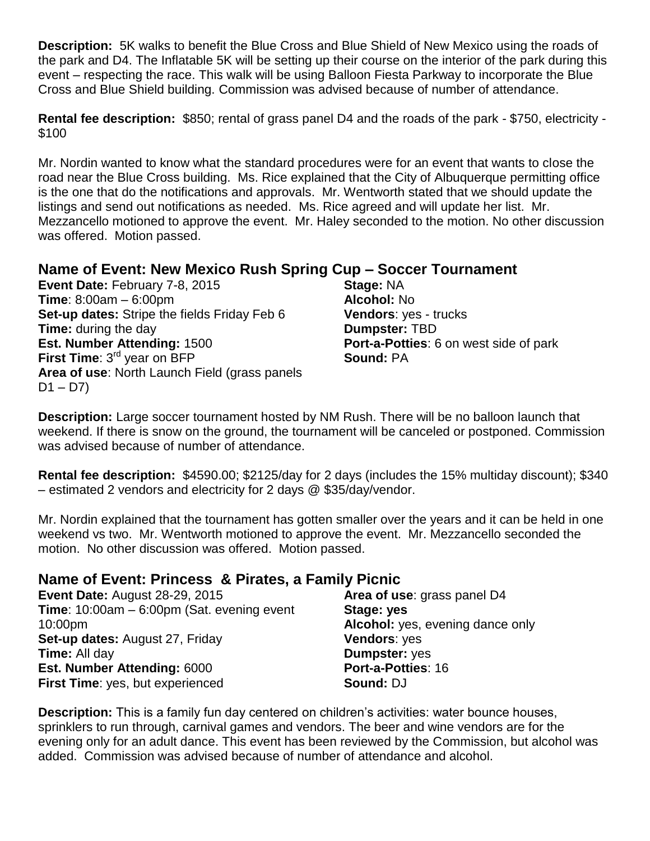**Description:** 5K walks to benefit the Blue Cross and Blue Shield of New Mexico using the roads of the park and D4. The Inflatable 5K will be setting up their course on the interior of the park during this event – respecting the race. This walk will be using Balloon Fiesta Parkway to incorporate the Blue Cross and Blue Shield building. Commission was advised because of number of attendance.

**Rental fee description:** \$850; rental of grass panel D4 and the roads of the park - \$750, electricity - \$100

Mr. Nordin wanted to know what the standard procedures were for an event that wants to close the road near the Blue Cross building. Ms. Rice explained that the City of Albuquerque permitting office is the one that do the notifications and approvals. Mr. Wentworth stated that we should update the listings and send out notifications as needed. Ms. Rice agreed and will update her list. Mr. Mezzancello motioned to approve the event. Mr. Haley seconded to the motion. No other discussion was offered. Motion passed.

# **Name of Event: New Mexico Rush Spring Cup – Soccer Tournament**

**Event Date:** February 7-8, 2015 **Time**: 8:00am – 6:00pm **Set-up dates:** Stripe the fields Friday Feb 6 **Time:** during the day **Est. Number Attending:** 1500 **First Time**: 3<sup>rd</sup> year on BFP **Area of use**: North Launch Field (grass panels  $D1 - D7$ 

**Stage:** NA **Alcohol:** No **Vendors**: yes - trucks **Dumpster:** TBD **Port-a-Potties**: 6 on west side of park **Sound:** PA

**Description:** Large soccer tournament hosted by NM Rush. There will be no balloon launch that weekend. If there is snow on the ground, the tournament will be canceled or postponed. Commission was advised because of number of attendance.

**Rental fee description:** \$4590.00; \$2125/day for 2 days (includes the 15% multiday discount); \$340 – estimated 2 vendors and electricity for 2 days @ \$35/day/vendor.

Mr. Nordin explained that the tournament has gotten smaller over the years and it can be held in one weekend vs two. Mr. Wentworth motioned to approve the event. Mr. Mezzancello seconded the motion. No other discussion was offered. Motion passed.

## **Name of Event: Princess & Pirates, a Family Picnic**

**Event Date:** August 28-29, 2015 **Time**: 10:00am – 6:00pm (Sat. evening event 10:00pm **Set-up dates:** August 27, Friday **Time:** All day **Est. Number Attending:** 6000 **First Time**: yes, but experienced **Area of use**: grass panel D4 **Stage: yes Alcohol:** yes, evening dance only **Vendors**: yes **Dumpster:** yes **Port-a-Potties**: 16 **Sound:** DJ

**Description:** This is a family fun day centered on children's activities: water bounce houses, sprinklers to run through, carnival games and vendors. The beer and wine vendors are for the evening only for an adult dance. This event has been reviewed by the Commission, but alcohol was added. Commission was advised because of number of attendance and alcohol.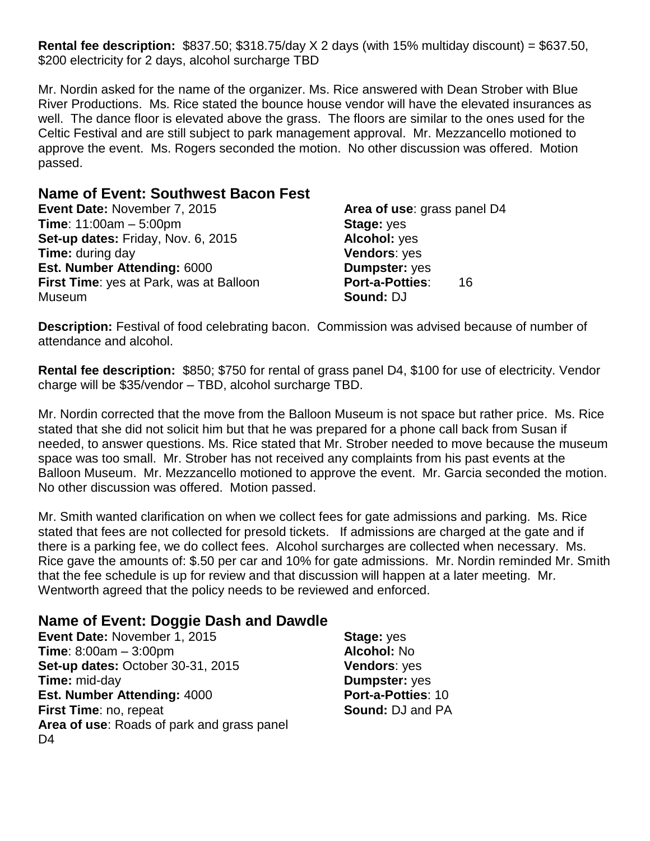**Rental fee description:** \$837.50; \$318.75/day X 2 days (with 15% multiday discount) = \$637.50, \$200 electricity for 2 days, alcohol surcharge TBD

Mr. Nordin asked for the name of the organizer. Ms. Rice answered with Dean Strober with Blue River Productions. Ms. Rice stated the bounce house vendor will have the elevated insurances as well. The dance floor is elevated above the grass. The floors are similar to the ones used for the Celtic Festival and are still subject to park management approval. Mr. Mezzancello motioned to approve the event. Ms. Rogers seconded the motion. No other discussion was offered. Motion passed.

### **Name of Event: Southwest Bacon Fest**

**Event Date:** November 7, 2015 **Time**: 11:00am – 5:00pm **Set-up dates:** Friday, Nov. 6, 2015 **Time:** during day **Est. Number Attending:** 6000 **First Time**: yes at Park, was at Balloon Museum

**Area of use**: grass panel D4 **Stage:** yes **Alcohol:** yes **Vendors**: yes **Dumpster:** yes **Port-a-Potties**: 16 **Sound:** DJ

**Description:** Festival of food celebrating bacon. Commission was advised because of number of attendance and alcohol.

**Rental fee description:** \$850; \$750 for rental of grass panel D4, \$100 for use of electricity. Vendor charge will be \$35/vendor – TBD, alcohol surcharge TBD.

Mr. Nordin corrected that the move from the Balloon Museum is not space but rather price. Ms. Rice stated that she did not solicit him but that he was prepared for a phone call back from Susan if needed, to answer questions. Ms. Rice stated that Mr. Strober needed to move because the museum space was too small. Mr. Strober has not received any complaints from his past events at the Balloon Museum. Mr. Mezzancello motioned to approve the event. Mr. Garcia seconded the motion. No other discussion was offered. Motion passed.

Mr. Smith wanted clarification on when we collect fees for gate admissions and parking. Ms. Rice stated that fees are not collected for presold tickets. If admissions are charged at the gate and if there is a parking fee, we do collect fees. Alcohol surcharges are collected when necessary. Ms. Rice gave the amounts of: \$.50 per car and 10% for gate admissions. Mr. Nordin reminded Mr. Smith that the fee schedule is up for review and that discussion will happen at a later meeting. Mr. Wentworth agreed that the policy needs to be reviewed and enforced.

## **Name of Event: Doggie Dash and Dawdle**

**Event Date:** November 1, 2015 **Time**: 8:00am – 3:00pm **Set-up dates:** October 30-31, 2015 **Time:** mid-day **Est. Number Attending:** 4000 **First Time**: no, repeat **Area of use**: Roads of park and grass panel D<sub>4</sub>

**Stage:** yes **Alcohol:** No **Vendors**: yes **Dumpster:** yes **Port-a-Potties**: 10 **Sound:** DJ and PA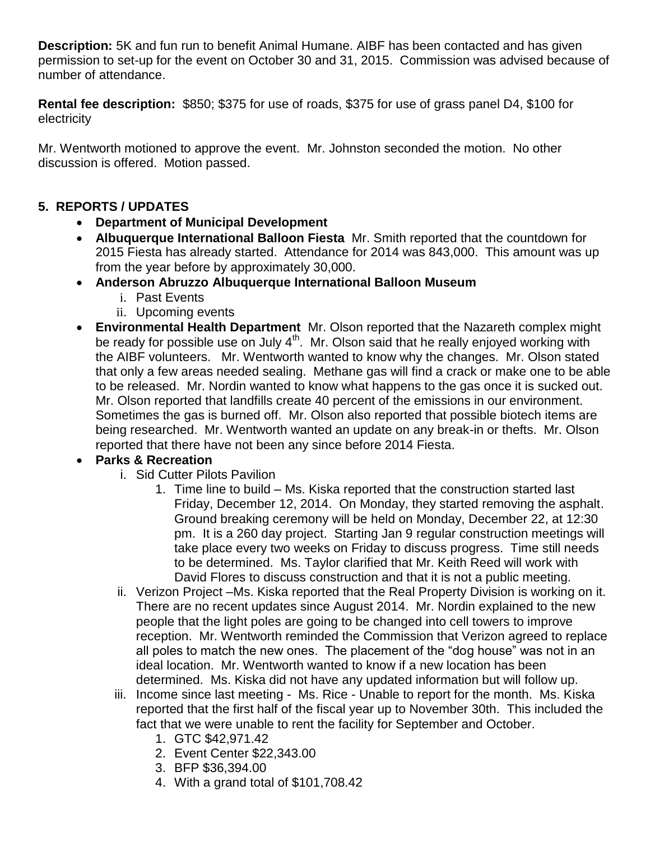**Description:** 5K and fun run to benefit Animal Humane. AIBF has been contacted and has given permission to set-up for the event on October 30 and 31, 2015. Commission was advised because of number of attendance.

**Rental fee description:** \$850; \$375 for use of roads, \$375 for use of grass panel D4, \$100 for electricity

Mr. Wentworth motioned to approve the event. Mr. Johnston seconded the motion. No other discussion is offered. Motion passed.

### **5. REPORTS / UPDATES**

- **Department of Municipal Development**
- **Albuquerque International Balloon Fiesta** Mr. Smith reported that the countdown for 2015 Fiesta has already started. Attendance for 2014 was 843,000. This amount was up from the year before by approximately 30,000.
- **Anderson Abruzzo Albuquerque International Balloon Museum**
	- i. Past Events
	- ii. Upcoming events
- **Environmental Health Department** Mr. Olson reported that the Nazareth complex might be ready for possible use on July  $4<sup>th</sup>$ . Mr. Olson said that he really enjoyed working with the AIBF volunteers. Mr. Wentworth wanted to know why the changes. Mr. Olson stated that only a few areas needed sealing. Methane gas will find a crack or make one to be able to be released. Mr. Nordin wanted to know what happens to the gas once it is sucked out. Mr. Olson reported that landfills create 40 percent of the emissions in our environment. Sometimes the gas is burned off. Mr. Olson also reported that possible biotech items are being researched. Mr. Wentworth wanted an update on any break-in or thefts. Mr. Olson reported that there have not been any since before 2014 Fiesta.

## **Parks & Recreation**

- i. Sid Cutter Pilots Pavilion
	- 1. Time line to build Ms. Kiska reported that the construction started last Friday, December 12, 2014. On Monday, they started removing the asphalt. Ground breaking ceremony will be held on Monday, December 22, at 12:30 pm. It is a 260 day project. Starting Jan 9 regular construction meetings will take place every two weeks on Friday to discuss progress. Time still needs to be determined. Ms. Taylor clarified that Mr. Keith Reed will work with David Flores to discuss construction and that it is not a public meeting.
- ii. Verizon Project –Ms. Kiska reported that the Real Property Division is working on it. There are no recent updates since August 2014. Mr. Nordin explained to the new people that the light poles are going to be changed into cell towers to improve reception. Mr. Wentworth reminded the Commission that Verizon agreed to replace all poles to match the new ones. The placement of the "dog house" was not in an ideal location. Mr. Wentworth wanted to know if a new location has been determined. Ms. Kiska did not have any updated information but will follow up.
- iii. Income since last meeting Ms. Rice Unable to report for the month. Ms. Kiska reported that the first half of the fiscal year up to November 30th. This included the fact that we were unable to rent the facility for September and October.
	- 1. GTC \$42,971.42
	- 2. Event Center \$22,343.00
	- 3. BFP \$36,394.00
	- 4. With a grand total of \$101,708.42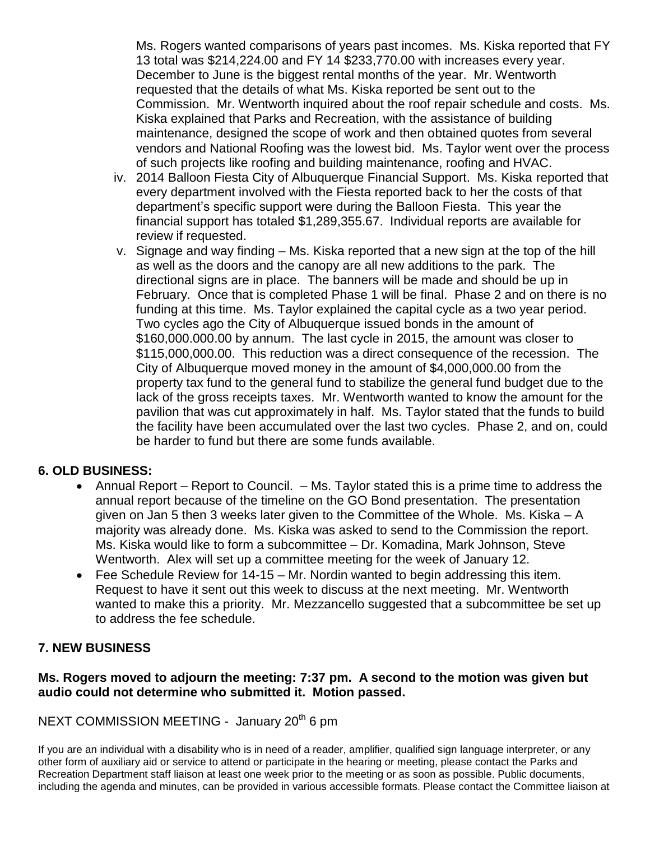Ms. Rogers wanted comparisons of years past incomes. Ms. Kiska reported that FY 13 total was \$214,224.00 and FY 14 \$233,770.00 with increases every year. December to June is the biggest rental months of the year. Mr. Wentworth requested that the details of what Ms. Kiska reported be sent out to the Commission. Mr. Wentworth inquired about the roof repair schedule and costs. Ms. Kiska explained that Parks and Recreation, with the assistance of building maintenance, designed the scope of work and then obtained quotes from several vendors and National Roofing was the lowest bid. Ms. Taylor went over the process of such projects like roofing and building maintenance, roofing and HVAC.

- iv. 2014 Balloon Fiesta City of Albuquerque Financial Support. Ms. Kiska reported that every department involved with the Fiesta reported back to her the costs of that department's specific support were during the Balloon Fiesta. This year the financial support has totaled \$1,289,355.67. Individual reports are available for review if requested.
- v. Signage and way finding Ms. Kiska reported that a new sign at the top of the hill as well as the doors and the canopy are all new additions to the park. The directional signs are in place. The banners will be made and should be up in February. Once that is completed Phase 1 will be final. Phase 2 and on there is no funding at this time. Ms. Taylor explained the capital cycle as a two year period. Two cycles ago the City of Albuquerque issued bonds in the amount of \$160,000.000.00 by annum. The last cycle in 2015, the amount was closer to \$115,000,000.00. This reduction was a direct consequence of the recession. The City of Albuquerque moved money in the amount of \$4,000,000.00 from the property tax fund to the general fund to stabilize the general fund budget due to the lack of the gross receipts taxes. Mr. Wentworth wanted to know the amount for the pavilion that was cut approximately in half. Ms. Taylor stated that the funds to build the facility have been accumulated over the last two cycles. Phase 2, and on, could be harder to fund but there are some funds available.

#### **6. OLD BUSINESS:**

- Annual Report Report to Council. Ms. Taylor stated this is a prime time to address the annual report because of the timeline on the GO Bond presentation. The presentation given on Jan 5 then 3 weeks later given to the Committee of the Whole. Ms. Kiska – A majority was already done. Ms. Kiska was asked to send to the Commission the report. Ms. Kiska would like to form a subcommittee – Dr. Komadina, Mark Johnson, Steve Wentworth. Alex will set up a committee meeting for the week of January 12.
- Fee Schedule Review for 14-15 Mr. Nordin wanted to begin addressing this item. Request to have it sent out this week to discuss at the next meeting. Mr. Wentworth wanted to make this a priority. Mr. Mezzancello suggested that a subcommittee be set up to address the fee schedule.

#### **7. NEW BUSINESS**

#### **Ms. Rogers moved to adjourn the meeting: 7:37 pm. A second to the motion was given but audio could not determine who submitted it. Motion passed.**

NEXT COMMISSION MEETING - January 20<sup>th</sup> 6 pm

If you are an individual with a disability who is in need of a reader, amplifier, qualified sign language interpreter, or any other form of auxiliary aid or service to attend or participate in the hearing or meeting, please contact the Parks and Recreation Department staff liaison at least one week prior to the meeting or as soon as possible. Public documents, including the agenda and minutes, can be provided in various accessible formats. Please contact the Committee liaison at